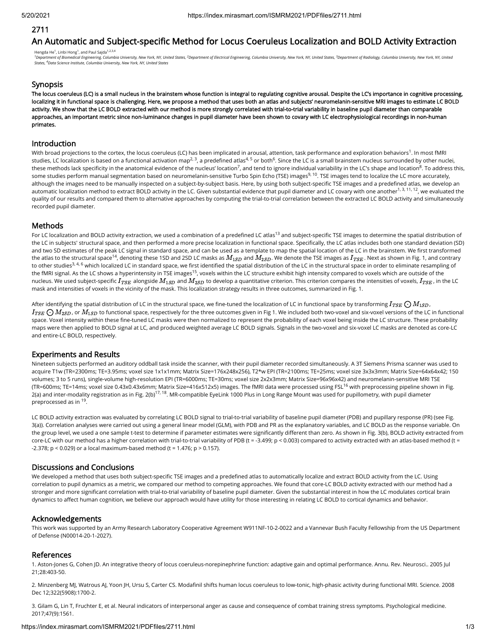## 2711

# An Automatic and Subject-specific Method for Locus Coeruleus Localization and BOLD Activity Extraction

Hengda He<sup>1</sup>, Linbi Hong<sup>1</sup>, and Paul Sajda<sup>1,2,3,4</sup> <sup>1</sup>Department of Biomedical Engineering, Columbia University, New York, NY, United States, <sup>2</sup>Department of Electrical Engineering, Columbia University, New York, NY, United States, <sup>3</sup>Department of Radiology, Columbia Uni

## Synopsis

The locus coeruleus (LC) is a small nucleus in the brainstem whose function is integral to regulating cognitive arousal. Despite the LC's importance in cognitive processing, localizing it in functional space is challenging. Here, we propose a method that uses both an atlas and subjects' neuromelanin-sensitive MRI images to estimate LC BOLD activity. We show that the LC BOLD extracted with our method is more strongly correlated with trial-to-trial variability in baseline pupil diameter than comparable approaches, an important metric since non-luminance changes in pupil diameter have been shown to covary with LC electrophysiological recordings in non-human primates.

## Introduction

With broad projections to the cortex, the locus coeruleus (LC) has been implicated in arousal, attention, task performance and exploration behaviors  $^1$ . In most fMRI studies, LC localization is based on a functional activation map<sup>2, 3</sup>, a predefined atlas<sup>4, 5</sup> or both<sup>6</sup>. Since the LC is a small brainstem nucleus surrounded by other nuclei, these methods lack specificity in the anatomical evidence of the nucleus' location<sup>7</sup>, and tend to ignore individual variability in the LC's shape and location<sup>8</sup>. To address this, some studies perform manual segmentation based on neuromelanin-sensitive Turbo Spin Echo (TSE) images<sup>9, 10</sup>. TSE images tend to localize the LC more accurately, although the images need to be manually inspected on a subject-by-subject basis. Here, by using both subject-specific TSE images and a predefined atlas, we develop an automatic localization method to extract BOLD activity in the LC. Given substantial evidence that pupil diameter and LC covary with one another  $^{1,3,\,11,\,12},$  we evaluated the quality of our results and compared them to alternative approaches by computing the trial-to-trial correlation between the extracted LC BOLD activity and simultaneously recorded pupil diameter.

## **Methods**

For LC localization and BOLD activity extraction, we used a combination of a predefined LC atlas<sup>13</sup> and subject-specific TSE images to determine the spatial distribution of the LC in subjects' structural space, and then performed a more precise localization in functional space. Specifically, the LC atlas includes both one standard deviation (SD) and two SD estimates of the peak LC signal in standard space, and can be used as a template to map the spatial location of the LC in the brainstem. We first transformed the atlas to the structural space<sup>14</sup>, denoting these 1SD and 2SD LC masks as  $M_{1SD}$  and  $M_{2SD}$ . We denote the TSE images as  $I_{TSE}$  . Next as shown in Fig. 1, and contrary to other studies<sup>3, 4, 6</sup> which localized LC in standard space, we first identified the spatial distribution of the LC in the structural space in order to eliminate resampling of the fMRI signal. As the LC shows a hyperintensity in TSE images<sup>15</sup>, voxels within the LC structure exhibit high intensity compared to voxels which are outside of the nucleus. We used subject-specific  $I_{TSE}$  alongside  $M_{1SD}$  and  $M_{2SD}$  to develop a quantitative criterion. This criterion compares the intensities of voxels,  $I_{TSE}$ , in the LC mask and intensities of voxels in the vicinity of the mask. This localization strategy results in three outcomes, summarized in Fig. 1.

After identifying the spatial distribution of LC in the structural space, we fine-tuned the localization of LC in functional space by transforming  $I_{TSE}\bigodot M_{1SD}$ ,  $I_{TSE}\bigodot M_{2SD}$  or  $M_{1SD}$  to functional space, respectively for the three outcomes given in Fig 1. We included both two-voxel and six-voxel versions of the LC in functional space. Voxel intensity within these fine-tuned LC masks were then normalized to represent the probability of each voxel being inside the LC structure. These probability maps were then applied to BOLD signal at LC, and produced weighted average LC BOLD signals. Signals in the two-voxel and six-voxel LC masks are denoted as core-LC and entire-LC BOLD, respectively.

## Experiments and Results

Nineteen subjects performed an auditory oddball task inside the scanner, with their pupil diameter recorded simultaneously. A 3T Siemens Prisma scanner was used to acquire T1w (TR=2300ms; TE=3.95ms; voxel size 1x1x1mm; Matrix Size=176x248x256), T2\*w EPI (TR=2100ms; TE=25ms; voxel size 3x3x3mm; Matrix Size=64x64x42; 150 volumes; 3 to 5 runs), single-volume high-resolution EPI (TR=6000ms; TE=30ms; voxel size 2x2x3mm; Matrix Size=96x96x42) and neuromelanin-sensitive MRI TSE (TR=600ms; TE=14ms; voxel size 0.43x0.43x6mm; Matrix Size=416x512x5) images. The fMRI data were processed using FSL<sup>16</sup> with preprocessing pipeline shown in Fig. 2(a) and inter-modality registration as in Fig. 2(b)<sup>17, 18</sup>. MR-compatible EyeLink 1000 Plus in Long Range Mount was used for pupillometry, with pupil diameter preprocessed as in <sup>19</sup>.

LC BOLD activity extraction was evaluated by correlating LC BOLD signal to trial-to-trial variability of baseline pupil diameter (PDB) and pupillary response (PR) (see Fig. 3(a)). Correlation analyses were carried out using a general linear model (GLM), with PDB and PR as the explanatory variables, and LC BOLD as the response variable. On the group level, we used a one sample t-test to determine if parameter estimates were significantly different than zero. As shown in Fig. 3(b), BOLD activity extracted from core-LC with our method has a higher correlation with trial-to-trial variability of PDB (t = -3.499; p < 0.003) compared to activity extracted with an atlas-based method (t =  $-2.378$ ; p < 0.029) or a local maximum-based method (t = 1.476; p > 0.157).

## Discussions and Conclusions

We developed a method that uses both subject-specific TSE images and a predefined atlas to automatically localize and extract BOLD activity from the LC. Using correlation to pupil dynamics as a metric, we compared our method to competing approaches. We found that core-LC BOLD activity extracted with our method had a stronger and more significant correlation with trial-to-trial variability of baseline pupil diameter. Given the substantial interest in how the LC modulates cortical brain dynamics to affect human cognition, we believe our approach would have utility for those interesting in relating LC BOLD to cortical dynamics and behavior.

## Acknowledgements

This work was supported by an Army Research Laboratory Cooperative Agreement W911NF-10-2-0022 and a Vannevar Bush Faculty Fellowship from the US Department of Defense (N00014-20-1-2027).

## References

1. Aston-Jones G, Cohen JD. An integrative theory of locus coeruleus-norepinephrine function: adaptive gain and optimal performance. Annu. Rev. Neurosci.. 2005 Jul 21;28:403-50.

2. Minzenberg MJ, Watrous AJ, Yoon JH, Ursu S, Carter CS. Modafinil shifts human locus coeruleus to low-tonic, high-phasic activity during functional MRI. Science. 2008 Dec 12;322(5908):1700-2.

3. Gilam G, Lin T, Fruchter E, et al. Neural indicators of interpersonal anger as cause and consequence of combat training stress symptoms. Psychological medicine. 2017;47(9):1561.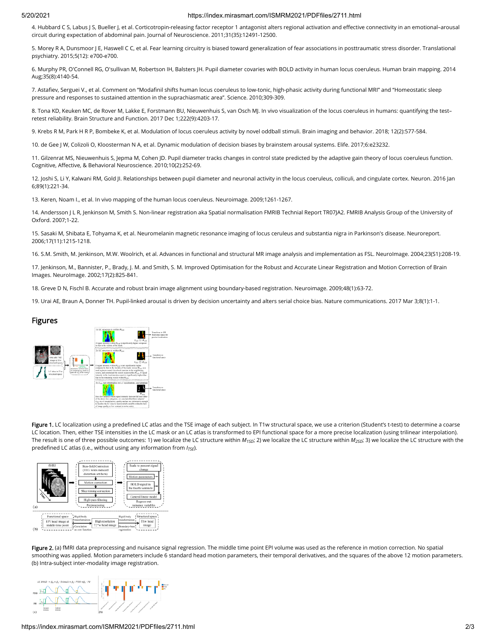#### 5/20/2021 https://index.mirasmart.com/ISMRM2021/PDFfiles/2711.html

4. Hubbard CS, Labus JS, Bueller J, et al. Corticotropin-releasing factor receptor 1 antagonist alters regional activation and effective connectivity in an emotional-arousal circuit during expectation of abdominal pain. Journal of Neuroscience. 2011;31(35):12491-12500.

5. Morey R A, Dunsmoor J E, Haswell C C, et al. Fear learning circuitry is biased toward generalization of fear associations in posttraumatic stress disorder. Translational psychiatry. 2015;5(12): e700-e700.

6. Murphy PR, O'Connell RG, O'sullivan M, Robertson IH, Balsters JH. Pupil diameter covaries with BOLD activity in human locus coeruleus. Human brain mapping. 2014 Aug;35(8):4140-54.

7. Astafiev, Serguei V., et al. Comment on "Modafinil shifts human locus coeruleus to low-tonic, high-phasic activity during functional MRI" and "Homeostatic sleep pressure and responses to sustained attention in the suprachiasmatic area". Science. 2010;309-309.

8. Tona KD, Keuken MC, de Rover M, Lakke E, Forstmann BU, Nieuwenhuis S, van Osch MJ. In vivo visualization of the locus coeruleus in humans: quantifying the test– retest reliability. Brain Structure and Function. 2017 Dec 1;222(9):4203-17.

9. Krebs R M, Park H R P, Bombeke K, et al. Modulation of locus coeruleus activity by novel oddball stimuli. Brain imaging and behavior. 2018; 12(2):577-584.

10. de Gee J W, Colizoli O, Kloosterman N A, et al. Dynamic modulation of decision biases by brainstem arousal systems. Elife. 2017;6:e23232.

11. Gilzenrat MS, Nieuwenhuis S, Jepma M, Cohen JD. Pupil diameter tracks changes in control state predicted by the adaptive gain theory of locus coeruleus function. Cognitive, Affective, & Behavioral Neuroscience. 2010;10(2):252-69.

12. Joshi S, Li Y, Kalwani RM, Gold Jl. Relationships between pupil diameter and neuronal activity in the locus coeruleus, colliculi, and cingulate cortex. Neuron. 2016 Jan 6;89(1):221-34.

13. Keren, Noam I., et al. In vivo mapping of the human locus coeruleus. Neuroimage. 2009;1261-1267.

14. Andersson J L R, Jenkinson M, Smith S. Non-linear registration aka Spatial normalisation FMRIB Technial Report TR07JA2. FMRIB Analysis Group of the University of Oxford. 2007;1-22.

15. Sasaki M, Shibata E, Tohyama K, et al. Neuromelanin magnetic resonance imaging of locus ceruleus and substantia nigra in Parkinson's disease. Neuroreport. 2006;17(11):1215-1218.

16. S.M. Smith, M. Jenkinson, M.W. Woolrich, et al. Advances in functional and structural MR image analysis and implementation as FSL. NeuroImage. 2004;23(S1):208-19.

17. Jenkinson, M., Bannister, P., Brady, J. M. and Smith, S. M. Improved Optimisation for the Robust and Accurate Linear Registration and Motion Correction of Brain Images. NeuroImage. 2002;17(2):825-841.

18. Greve D N, Fischl B. Accurate and robust brain image alignment using boundary-based registration. Neuroimage. 2009;48(1):63-72.

19. Urai AE, Braun A, Donner TH. Pupil-linked arousal is driven by decision uncertainty and alters serial choice bias. Nature communications. 2017 Mar 3;8(1):1-1.

#### Figures



Figure 1. LC localization using a predefined LC atlas and the TSE image of each subject. In T1w structural space, we use a criterion (Student's t-test) to determine a coarse LC location. Then, either TSE intensities in the LC mask or an LC atlas is transformed to EPI functional space for a more precise localization (using trilinear interpolation). The result is one of three possible outcomes: 1) we localize the LC structure within  $M_{15D}$ ; 2) we localize the LC structure with in  $M_{25D}$ ; 3) we localize the LC structure with the predefined LC atlas (i.e., without using any information from *l<sub>TSE</sub>*).



Figure 2. (a) fMRI data preprocessing and nuisance signal regression. The middle time point EPI volume was used as the reference in motion correction. No spatial smoothing was applied. Motion parameters include 6 standard head motion parameters, their temporal derivatives, and the squares of the above 12 motion parameters. (b) Intra-subject inter-modality image registration.